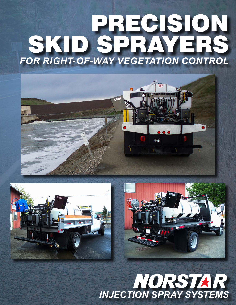# PRECISION SKID SPRAYERS *FOR RIGHT-OF-WAY VEGETATION CONTROL*







# NORSTAR *INJECTION SPRAY SYSTEMS*